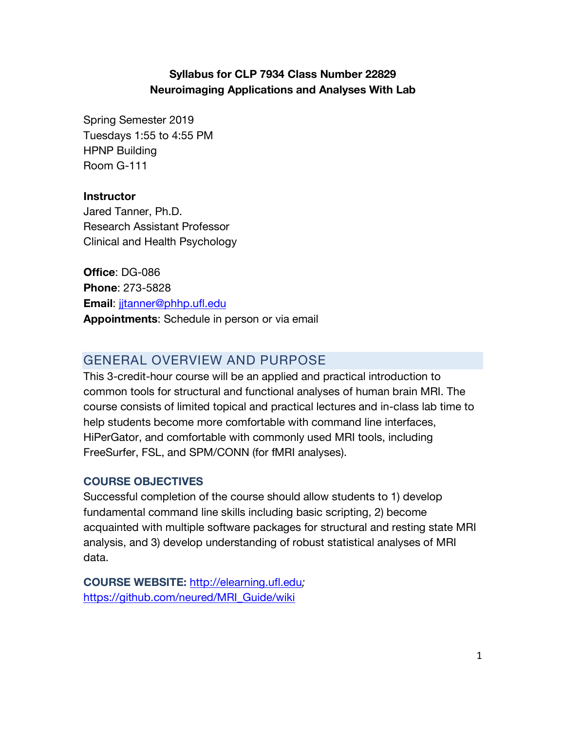# **Syllabus for CLP 7934 Class Number 22829 Neuroimaging Applications and Analyses With Lab**

Spring Semester 2019 Tuesdays 1:55 to 4:55 PM HPNP Building Room G-111

#### **Instructor**

Jared Tanner, Ph.D. Research Assistant Professor Clinical and Health Psychology

**Office**: DG-086 **Phone**: 273-5828 **Email**: jjtanner@phhp.ufl.edu **Appointments**: Schedule in person or via email

# GENERAL OVERVIEW AND PURPOSE

This 3-credit-hour course will be an applied and practical introduction to common tools for structural and functional analyses of human brain MRI. The course consists of limited topical and practical lectures and in-class lab time to help students become more comfortable with command line interfaces, HiPerGator, and comfortable with commonly used MRI tools, including FreeSurfer, FSL, and SPM/CONN (for fMRI analyses).

# **COURSE OBJECTIVES**

Successful completion of the course should allow students to 1) develop fundamental command line skills including basic scripting, 2) become acquainted with multiple software packages for structural and resting state MRI analysis, and 3) develop understanding of robust statistical analyses of MRI data.

**COURSE WEBSITE:** http://elearning.ufl.edu*;*  https://github.com/neured/MRI\_Guide/wiki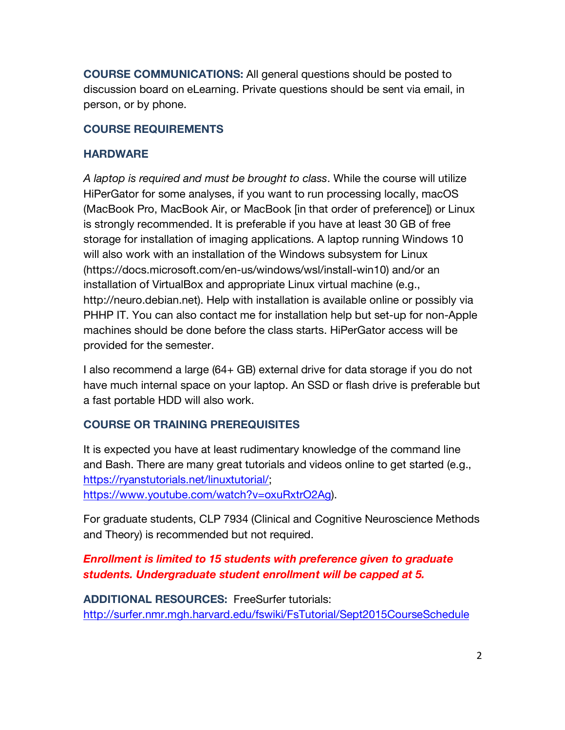**COURSE COMMUNICATIONS:** All general questions should be posted to discussion board on eLearning. Private questions should be sent via email, in person, or by phone.

### **COURSE REQUIREMENTS**

### **HARDWARE**

*A laptop is required and must be brought to class*. While the course will utilize HiPerGator for some analyses, if you want to run processing locally, macOS (MacBook Pro, MacBook Air, or MacBook [in that order of preference]) or Linux is strongly recommended. It is preferable if you have at least 30 GB of free storage for installation of imaging applications. A laptop running Windows 10 will also work with an installation of the Windows subsystem for Linux (https://docs.microsoft.com/en-us/windows/wsl/install-win10) and/or an installation of VirtualBox and appropriate Linux virtual machine (e.g., http://neuro.debian.net). Help with installation is available online or possibly via PHHP IT. You can also contact me for installation help but set-up for non-Apple machines should be done before the class starts. HiPerGator access will be provided for the semester.

I also recommend a large (64+ GB) external drive for data storage if you do not have much internal space on your laptop. An SSD or flash drive is preferable but a fast portable HDD will also work.

# **COURSE OR TRAINING PREREQUISITES**

It is expected you have at least rudimentary knowledge of the command line and Bash. There are many great tutorials and videos online to get started (e.g., https://ryanstutorials.net/linuxtutorial/; https://www.youtube.com/watch?v=oxuRxtrO2Ag).

For graduate students, CLP 7934 (Clinical and Cognitive Neuroscience Methods and Theory) is recommended but not required.

# *Enrollment is limited to 15 students with preference given to graduate students. Undergraduate student enrollment will be capped at 5.*

**ADDITIONAL RESOURCES:** FreeSurfer tutorials: http://surfer.nmr.mgh.harvard.edu/fswiki/FsTutorial/Sept2015CourseSchedule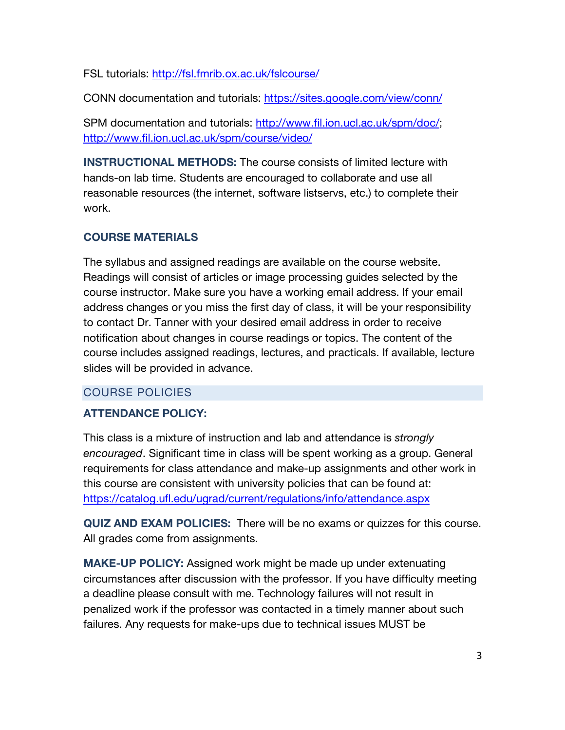FSL tutorials: http://fsl.fmrib.ox.ac.uk/fslcourse/

CONN documentation and tutorials: https://sites.google.com/view/conn/

SPM documentation and tutorials: http://www.fil.ion.ucl.ac.uk/spm/doc/; http://www.fil.ion.ucl.ac.uk/spm/course/video/

**INSTRUCTIONAL METHODS:** The course consists of limited lecture with hands-on lab time. Students are encouraged to collaborate and use all reasonable resources (the internet, software listservs, etc.) to complete their work.

# **COURSE MATERIALS**

The syllabus and assigned readings are available on the course website. Readings will consist of articles or image processing guides selected by the course instructor. Make sure you have a working email address. If your email address changes or you miss the first day of class, it will be your responsibility to contact Dr. Tanner with your desired email address in order to receive notification about changes in course readings or topics. The content of the course includes assigned readings, lectures, and practicals. If available, lecture slides will be provided in advance.

# COURSE POLICIES

# **ATTENDANCE POLICY:**

This class is a mixture of instruction and lab and attendance is *strongly encouraged*. Significant time in class will be spent working as a group. General requirements for class attendance and make-up assignments and other work in this course are consistent with university policies that can be found at: https://catalog.ufl.edu/ugrad/current/regulations/info/attendance.aspx

**QUIZ AND EXAM POLICIES:** There will be no exams or quizzes for this course. All grades come from assignments.

**MAKE-UP POLICY:** Assigned work might be made up under extenuating circumstances after discussion with the professor. If you have difficulty meeting a deadline please consult with me. Technology failures will not result in penalized work if the professor was contacted in a timely manner about such failures. Any requests for make-ups due to technical issues MUST be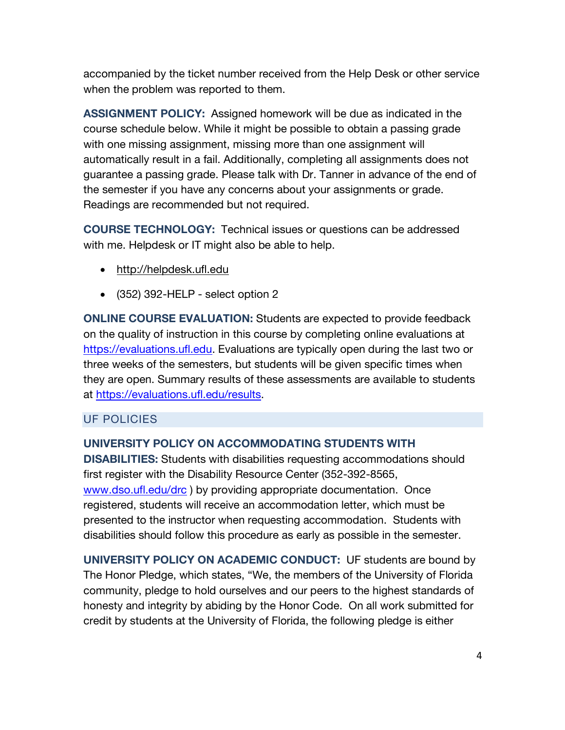accompanied by the ticket number received from the Help Desk or other service when the problem was reported to them.

**ASSIGNMENT POLICY:** Assigned homework will be due as indicated in the course schedule below. While it might be possible to obtain a passing grade with one missing assignment, missing more than one assignment will automatically result in a fail. Additionally, completing all assignments does not guarantee a passing grade. Please talk with Dr. Tanner in advance of the end of the semester if you have any concerns about your assignments or grade. Readings are recommended but not required.

**COURSE TECHNOLOGY:** Technical issues or questions can be addressed with me. Helpdesk or IT might also be able to help.

- http://helpdesk.ufl.edu
- (352) 392-HELP select option 2

**ONLINE COURSE EVALUATION:** Students are expected to provide feedback on the quality of instruction in this course by completing online evaluations at https://evaluations.ufl.edu. Evaluations are typically open during the last two or three weeks of the semesters, but students will be given specific times when they are open. Summary results of these assessments are available to students at https://evaluations.ufl.edu/results.

#### UF POLICIES

#### **UNIVERSITY POLICY ON ACCOMMODATING STUDENTS WITH**

**DISABILITIES:** Students with disabilities requesting accommodations should first register with the Disability Resource Center (352-392-8565, www.dso.ufl.edu/drc) by providing appropriate documentation. Once registered, students will receive an accommodation letter, which must be presented to the instructor when requesting accommodation. Students with disabilities should follow this procedure as early as possible in the semester.

**UNIVERSITY POLICY ON ACADEMIC CONDUCT:** UF students are bound by The Honor Pledge, which states, "We, the members of the University of Florida community, pledge to hold ourselves and our peers to the highest standards of honesty and integrity by abiding by the Honor Code. On all work submitted for credit by students at the University of Florida, the following pledge is either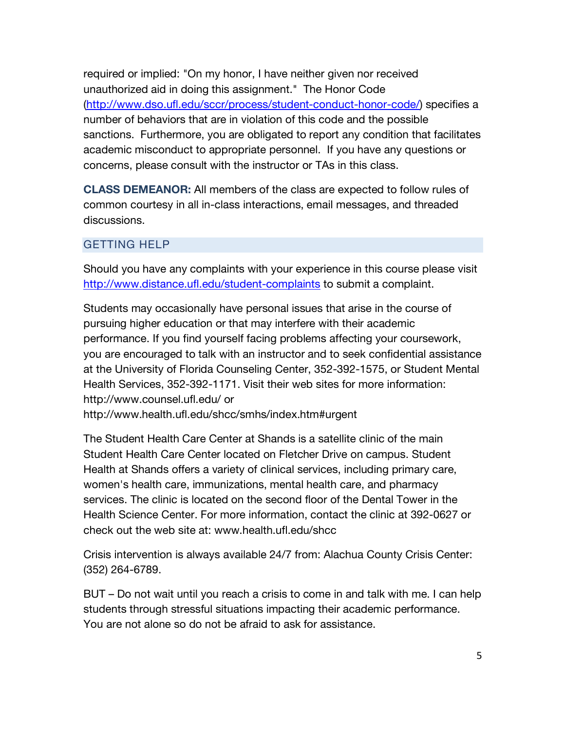required or implied: "On my honor, I have neither given nor received unauthorized aid in doing this assignment." The Honor Code (http://www.dso.ufl.edu/sccr/process/student-conduct-honor-code/) specifies a number of behaviors that are in violation of this code and the possible sanctions. Furthermore, you are obligated to report any condition that facilitates academic misconduct to appropriate personnel. If you have any questions or concerns, please consult with the instructor or TAs in this class.

**CLASS DEMEANOR:** All members of the class are expected to follow rules of common courtesy in all in-class interactions, email messages, and threaded discussions.

#### GETTING HELP

Should you have any complaints with your experience in this course please visit http://www.distance.ufl.edu/student-complaints to submit a complaint.

Students may occasionally have personal issues that arise in the course of pursuing higher education or that may interfere with their academic performance. If you find yourself facing problems affecting your coursework, you are encouraged to talk with an instructor and to seek confidential assistance at the University of Florida Counseling Center, 352-392-1575, or Student Mental Health Services, 352-392-1171. Visit their web sites for more information: http://www.counsel.ufl.edu/ or http://www.health.ufl.edu/shcc/smhs/index.htm#urgent

The Student Health Care Center at Shands is a satellite clinic of the main Student Health Care Center located on Fletcher Drive on campus. Student Health at Shands offers a variety of clinical services, including primary care, women's health care, immunizations, mental health care, and pharmacy services. The clinic is located on the second floor of the Dental Tower in the Health Science Center. For more information, contact the clinic at 392-0627 or check out the web site at: www.health.ufl.edu/shcc

Crisis intervention is always available 24/7 from: Alachua County Crisis Center: (352) 264-6789.

BUT – Do not wait until you reach a crisis to come in and talk with me. I can help students through stressful situations impacting their academic performance. You are not alone so do not be afraid to ask for assistance.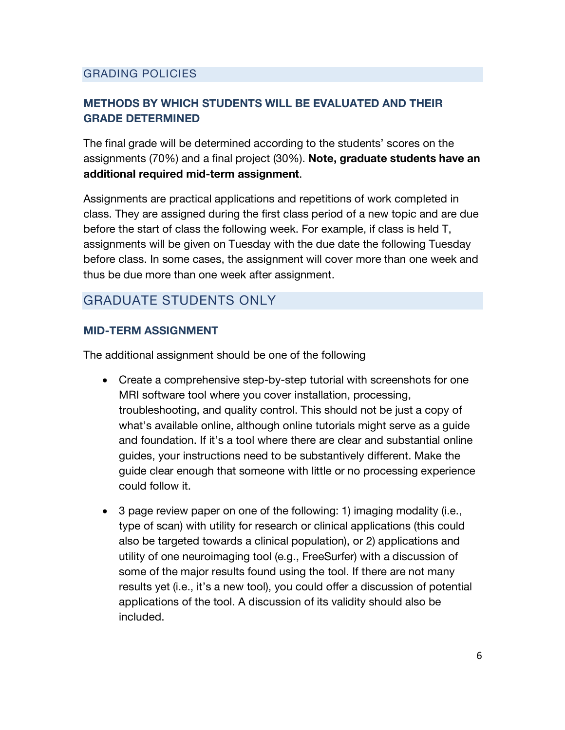# GRADING POLICIES

# **METHODS BY WHICH STUDENTS WILL BE EVALUATED AND THEIR GRADE DETERMINED**

The final grade will be determined according to the students' scores on the assignments (70%) and a final project (30%). **Note, graduate students have an additional required mid-term assignment**.

Assignments are practical applications and repetitions of work completed in class. They are assigned during the first class period of a new topic and are due before the start of class the following week. For example, if class is held T, assignments will be given on Tuesday with the due date the following Tuesday before class. In some cases, the assignment will cover more than one week and thus be due more than one week after assignment.

# GRADUATE STUDENTS ONLY

#### **MID-TERM ASSIGNMENT**

The additional assignment should be one of the following

- Create a comprehensive step-by-step tutorial with screenshots for one MRI software tool where you cover installation, processing, troubleshooting, and quality control. This should not be just a copy of what's available online, although online tutorials might serve as a guide and foundation. If it's a tool where there are clear and substantial online guides, your instructions need to be substantively different. Make the guide clear enough that someone with little or no processing experience could follow it.
- 3 page review paper on one of the following: 1) imaging modality (i.e., type of scan) with utility for research or clinical applications (this could also be targeted towards a clinical population), or 2) applications and utility of one neuroimaging tool (e.g., FreeSurfer) with a discussion of some of the major results found using the tool. If there are not many results yet (i.e., it's a new tool), you could offer a discussion of potential applications of the tool. A discussion of its validity should also be included.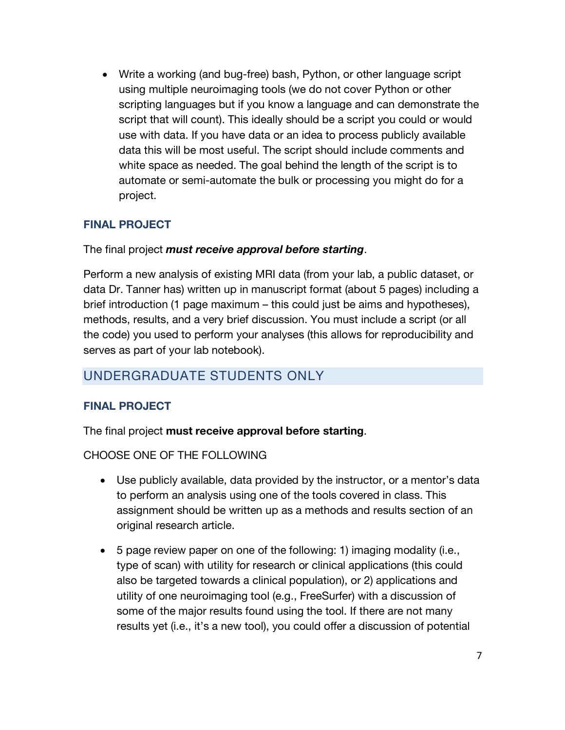• Write a working (and bug-free) bash, Python, or other language script using multiple neuroimaging tools (we do not cover Python or other scripting languages but if you know a language and can demonstrate the script that will count). This ideally should be a script you could or would use with data. If you have data or an idea to process publicly available data this will be most useful. The script should include comments and white space as needed. The goal behind the length of the script is to automate or semi-automate the bulk or processing you might do for a project.

# **FINAL PROJECT**

# The final project *must receive approval before starting*.

Perform a new analysis of existing MRI data (from your lab, a public dataset, or data Dr. Tanner has) written up in manuscript format (about 5 pages) including a brief introduction (1 page maximum – this could just be aims and hypotheses), methods, results, and a very brief discussion. You must include a script (or all the code) you used to perform your analyses (this allows for reproducibility and serves as part of your lab notebook).

# UNDERGRADUATE STUDENTS ONLY

# **FINAL PROJECT**

The final project **must receive approval before starting**.

# CHOOSE ONE OF THE FOLLOWING

- Use publicly available, data provided by the instructor, or a mentor's data to perform an analysis using one of the tools covered in class. This assignment should be written up as a methods and results section of an original research article.
- 5 page review paper on one of the following: 1) imaging modality (i.e., type of scan) with utility for research or clinical applications (this could also be targeted towards a clinical population), or 2) applications and utility of one neuroimaging tool (e.g., FreeSurfer) with a discussion of some of the major results found using the tool. If there are not many results yet (i.e., it's a new tool), you could offer a discussion of potential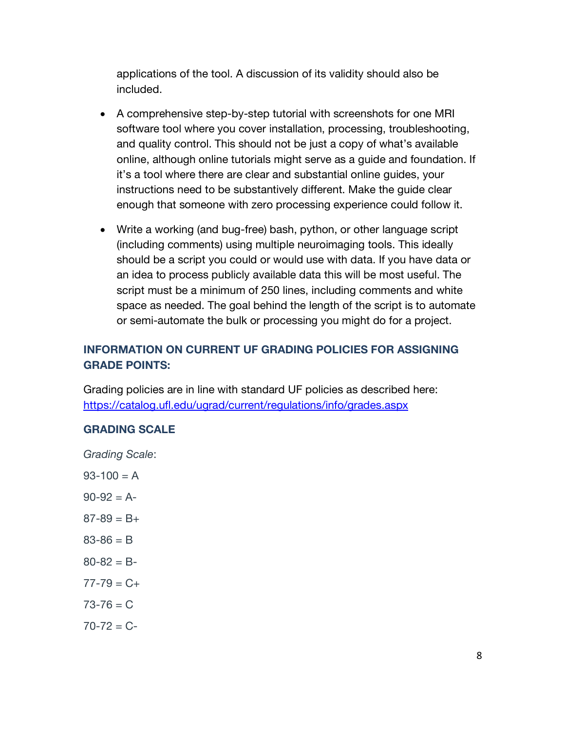applications of the tool. A discussion of its validity should also be included.

- A comprehensive step-by-step tutorial with screenshots for one MRI software tool where you cover installation, processing, troubleshooting, and quality control. This should not be just a copy of what's available online, although online tutorials might serve as a guide and foundation. If it's a tool where there are clear and substantial online guides, your instructions need to be substantively different. Make the guide clear enough that someone with zero processing experience could follow it.
- Write a working (and bug-free) bash, python, or other language script (including comments) using multiple neuroimaging tools. This ideally should be a script you could or would use with data. If you have data or an idea to process publicly available data this will be most useful. The script must be a minimum of 250 lines, including comments and white space as needed. The goal behind the length of the script is to automate or semi-automate the bulk or processing you might do for a project.

# **INFORMATION ON CURRENT UF GRADING POLICIES FOR ASSIGNING GRADE POINTS:**

Grading policies are in line with standard UF policies as described here: https://catalog.ufl.edu/ugrad/current/regulations/info/grades.aspx

# **GRADING SCALE**

*Grading Scale*:

 $93 - 100 = A$  $90-92 = A$  $87-89 = B+$  $83 - 86 = B$  $80 - 82 = B$  $77 - 79 = C +$  $73 - 76 = C$  $70 - 72 = C$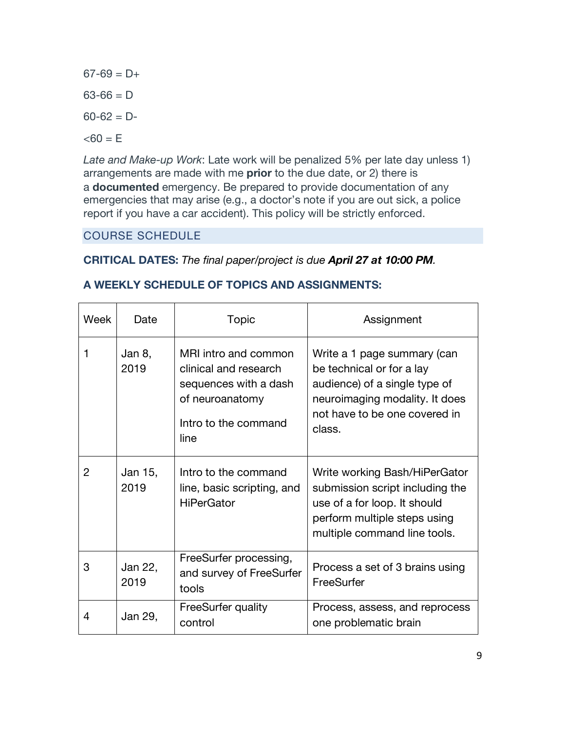$67-69 = D+$  $63-66 = D$  $60-62 = D < 60 = E$ 

*Late and Make-up Work*: Late work will be penalized 5% per late day unless 1) arrangements are made with me **prior** to the due date, or 2) there is a **documented** emergency. Be prepared to provide documentation of any emergencies that may arise (e.g., a doctor's note if you are out sick, a police report if you have a car accident). This policy will be strictly enforced.

# COURSE SCHEDULE

# **CRITICAL DATES:** *The final paper/project is due April 27 at 10:00 PM.*

| Week           | Date            | <b>Topic</b>                                                                                                              | Assignment                                                                                                                                                             |
|----------------|-----------------|---------------------------------------------------------------------------------------------------------------------------|------------------------------------------------------------------------------------------------------------------------------------------------------------------------|
| 1              | Jan 8,<br>2019  | MRI intro and common<br>clinical and research<br>sequences with a dash<br>of neuroanatomy<br>Intro to the command<br>line | Write a 1 page summary (can<br>be technical or for a lay<br>audience) of a single type of<br>neuroimaging modality. It does<br>not have to be one covered in<br>class. |
| $\overline{2}$ | Jan 15,<br>2019 | Intro to the command<br>line, basic scripting, and<br><b>HiPerGator</b>                                                   | Write working Bash/HiPerGator<br>submission script including the<br>use of a for loop. It should<br>perform multiple steps using<br>multiple command line tools.       |
| 3              | Jan 22,<br>2019 | FreeSurfer processing,<br>and survey of FreeSurfer<br>tools                                                               | Process a set of 3 brains using<br>FreeSurfer                                                                                                                          |
| 4              | Jan 29,         | FreeSurfer quality<br>control                                                                                             | Process, assess, and reprocess<br>one problematic brain                                                                                                                |

# **A WEEKLY SCHEDULE OF TOPICS AND ASSIGNMENTS:**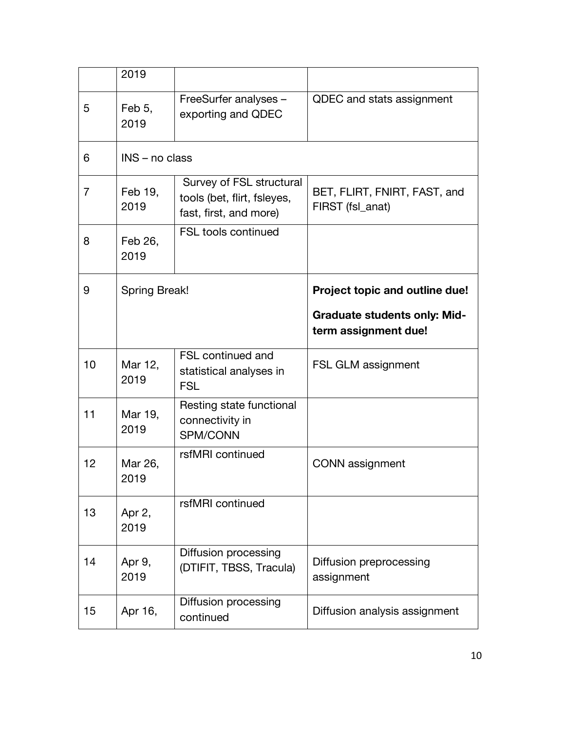|                | 2019                 |                                                                                   |                                                             |  |  |
|----------------|----------------------|-----------------------------------------------------------------------------------|-------------------------------------------------------------|--|--|
| 5              | Feb 5,<br>2019       | FreeSurfer analyses -<br>exporting and QDEC                                       | QDEC and stats assignment                                   |  |  |
| 6              | INS - no class       |                                                                                   |                                                             |  |  |
| $\overline{7}$ | Feb 19,<br>2019      | Survey of FSL structural<br>tools (bet, flirt, fsleyes,<br>fast, first, and more) | BET, FLIRT, FNIRT, FAST, and<br>FIRST (fsl_anat)            |  |  |
| 8              | Feb 26,<br>2019      | <b>FSL tools continued</b>                                                        |                                                             |  |  |
| 9              | <b>Spring Break!</b> |                                                                                   | Project topic and outline due!                              |  |  |
|                |                      |                                                                                   | <b>Graduate students only: Mid-</b><br>term assignment due! |  |  |
| 10             | Mar 12,<br>2019      | <b>FSL continued and</b><br>statistical analyses in<br><b>FSL</b>                 | FSL GLM assignment                                          |  |  |
| 11             | Mar 19,              | Resting state functional                                                          |                                                             |  |  |
|                | 2019                 | connectivity in<br>SPM/CONN                                                       |                                                             |  |  |
| 12             | Mar 26,<br>2019      | rsfMRI continued                                                                  | <b>CONN</b> assignment                                      |  |  |
| 13             | Apr 2,<br>2019       | rsfMRI continued                                                                  |                                                             |  |  |
| 14             | Apr 9,<br>2019       | Diffusion processing<br>(DTIFIT, TBSS, Tracula)                                   | Diffusion preprocessing<br>assignment                       |  |  |